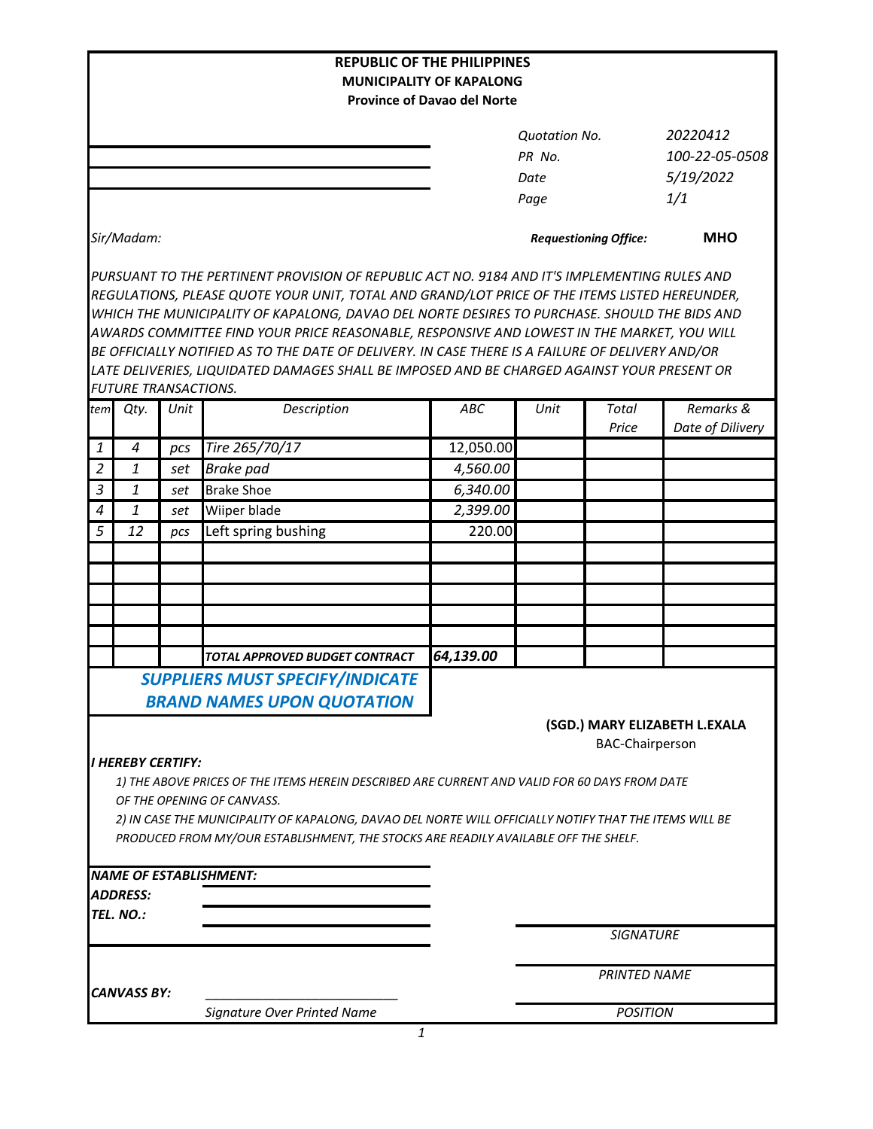|                |                             |      | <b>REPUBLIC OF THE PHILIPPINES</b>                                                                                                                                                                                                                                                                                                                                                                                                                                                                                                                                                             |                                    |                              |                        |                               |
|----------------|-----------------------------|------|------------------------------------------------------------------------------------------------------------------------------------------------------------------------------------------------------------------------------------------------------------------------------------------------------------------------------------------------------------------------------------------------------------------------------------------------------------------------------------------------------------------------------------------------------------------------------------------------|------------------------------------|------------------------------|------------------------|-------------------------------|
|                |                             |      |                                                                                                                                                                                                                                                                                                                                                                                                                                                                                                                                                                                                | <b>MUNICIPALITY OF KAPALONG</b>    |                              |                        |                               |
|                |                             |      |                                                                                                                                                                                                                                                                                                                                                                                                                                                                                                                                                                                                | <b>Province of Davao del Norte</b> |                              |                        |                               |
|                |                             |      |                                                                                                                                                                                                                                                                                                                                                                                                                                                                                                                                                                                                |                                    | <b>Quotation No.</b>         |                        | 20220412                      |
|                |                             |      |                                                                                                                                                                                                                                                                                                                                                                                                                                                                                                                                                                                                |                                    | PR No.                       |                        | 100-22-05-0508                |
|                |                             |      |                                                                                                                                                                                                                                                                                                                                                                                                                                                                                                                                                                                                |                                    | Date                         |                        | 5/19/2022                     |
|                |                             |      |                                                                                                                                                                                                                                                                                                                                                                                                                                                                                                                                                                                                |                                    | Page                         |                        | 1/1                           |
| Sir/Madam:     |                             |      |                                                                                                                                                                                                                                                                                                                                                                                                                                                                                                                                                                                                |                                    | <b>Requestioning Office:</b> |                        | <b>MHO</b>                    |
|                |                             |      | PURSUANT TO THE PERTINENT PROVISION OF REPUBLIC ACT NO. 9184 AND IT'S IMPLEMENTING RULES AND<br>REGULATIONS, PLEASE QUOTE YOUR UNIT, TOTAL AND GRAND/LOT PRICE OF THE ITEMS LISTED HEREUNDER,<br>WHICH THE MUNICIPALITY OF KAPALONG, DAVAO DEL NORTE DESIRES TO PURCHASE. SHOULD THE BIDS AND<br>AWARDS COMMITTEE FIND YOUR PRICE REASONABLE, RESPONSIVE AND LOWEST IN THE MARKET, YOU WILL<br>BE OFFICIALLY NOTIFIED AS TO THE DATE OF DELIVERY. IN CASE THERE IS A FAILURE OF DELIVERY AND/OR<br>LATE DELIVERIES, LIQUIDATED DAMAGES SHALL BE IMPOSED AND BE CHARGED AGAINST YOUR PRESENT OR |                                    |                              |                        |                               |
|                | <b>FUTURE TRANSACTIONS.</b> |      |                                                                                                                                                                                                                                                                                                                                                                                                                                                                                                                                                                                                |                                    |                              |                        |                               |
| tem            | Qty.                        | Unit | Description                                                                                                                                                                                                                                                                                                                                                                                                                                                                                                                                                                                    | ABC                                | Unit                         | Total<br>Price         | Remarks &<br>Date of Dilivery |
| 1              | 4                           | pcs  | Tire 265/70/17                                                                                                                                                                                                                                                                                                                                                                                                                                                                                                                                                                                 | 12,050.00                          |                              |                        |                               |
| $\overline{2}$ | $\mathbf{1}$                | set  | <b>Brake</b> pad                                                                                                                                                                                                                                                                                                                                                                                                                                                                                                                                                                               | 4,560.00                           |                              |                        |                               |
| $\mathfrak{Z}$ | $\mathbf{1}$                | set  | <b>Brake Shoe</b>                                                                                                                                                                                                                                                                                                                                                                                                                                                                                                                                                                              | 6,340.00                           |                              |                        |                               |
| $\overline{a}$ | 1                           | set  | Wiiper blade                                                                                                                                                                                                                                                                                                                                                                                                                                                                                                                                                                                   | 2,399.00                           |                              |                        |                               |
| 5              | 12                          | pcs  | Left spring bushing                                                                                                                                                                                                                                                                                                                                                                                                                                                                                                                                                                            | 220.00                             |                              |                        |                               |
|                |                             |      |                                                                                                                                                                                                                                                                                                                                                                                                                                                                                                                                                                                                |                                    |                              |                        |                               |
|                |                             |      |                                                                                                                                                                                                                                                                                                                                                                                                                                                                                                                                                                                                |                                    |                              |                        |                               |
|                |                             |      |                                                                                                                                                                                                                                                                                                                                                                                                                                                                                                                                                                                                |                                    |                              |                        |                               |
|                |                             |      |                                                                                                                                                                                                                                                                                                                                                                                                                                                                                                                                                                                                |                                    |                              |                        |                               |
|                |                             |      |                                                                                                                                                                                                                                                                                                                                                                                                                                                                                                                                                                                                |                                    |                              |                        |                               |
|                |                             |      | TOTAL APPROVED BUDGET CONTRACT                                                                                                                                                                                                                                                                                                                                                                                                                                                                                                                                                                 | 64,139.00                          |                              |                        |                               |
|                |                             |      | <b>SUPPLIERS MUST SPECIFY/INDICATE</b>                                                                                                                                                                                                                                                                                                                                                                                                                                                                                                                                                         |                                    |                              |                        |                               |
|                |                             |      |                                                                                                                                                                                                                                                                                                                                                                                                                                                                                                                                                                                                |                                    |                              |                        |                               |
|                | <b>I HEREBY CERTIFY:</b>    |      | <b>BRAND NAMES UPON QUOTATION</b>                                                                                                                                                                                                                                                                                                                                                                                                                                                                                                                                                              |                                    |                              | <b>BAC-Chairperson</b> | (SGD.) MARY ELIZABETH L.EXALA |
|                |                             |      | 1) THE ABOVE PRICES OF THE ITEMS HEREIN DESCRIBED ARE CURRENT AND VALID FOR 60 DAYS FROM DATE<br>OF THE OPENING OF CANVASS.<br>2) IN CASE THE MUNICIPALITY OF KAPALONG, DAVAO DEL NORTE WILL OFFICIALLY NOTIFY THAT THE ITEMS WILL BE<br>PRODUCED FROM MY/OUR ESTABLISHMENT, THE STOCKS ARE READILY AVAILABLE OFF THE SHELF.                                                                                                                                                                                                                                                                   |                                    |                              |                        |                               |
|                |                             |      | <b>NAME OF ESTABLISHMENT:</b>                                                                                                                                                                                                                                                                                                                                                                                                                                                                                                                                                                  |                                    |                              |                        |                               |
|                | <b>ADDRESS:</b>             |      |                                                                                                                                                                                                                                                                                                                                                                                                                                                                                                                                                                                                |                                    |                              |                        |                               |
|                | TEL. NO.:                   |      |                                                                                                                                                                                                                                                                                                                                                                                                                                                                                                                                                                                                |                                    |                              |                        |                               |
|                |                             |      |                                                                                                                                                                                                                                                                                                                                                                                                                                                                                                                                                                                                |                                    |                              | <b>SIGNATURE</b>       |                               |
|                | <b>CANVASS BY:</b>          |      |                                                                                                                                                                                                                                                                                                                                                                                                                                                                                                                                                                                                |                                    |                              | <b>PRINTED NAME</b>    |                               |
|                |                             |      | Signature Over Printed Name                                                                                                                                                                                                                                                                                                                                                                                                                                                                                                                                                                    |                                    | <b>POSITION</b>              |                        |                               |